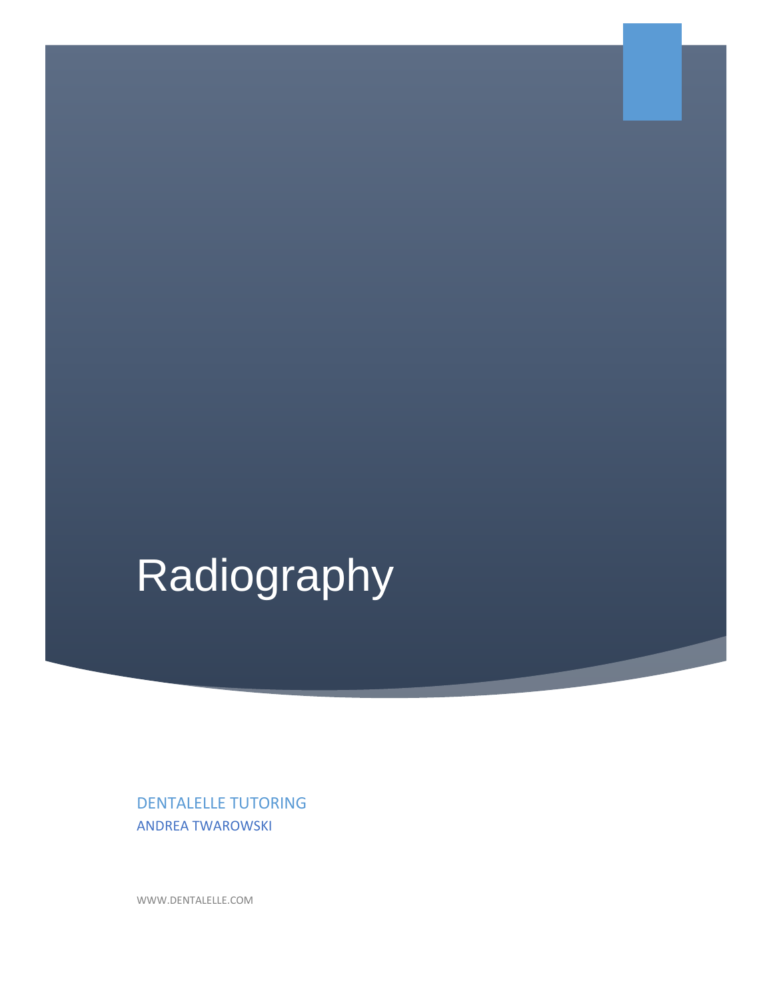# Radiography

DENTALELLE TUTORING ANDREA TWAROWSKI

WWW.DENTALELLE.COM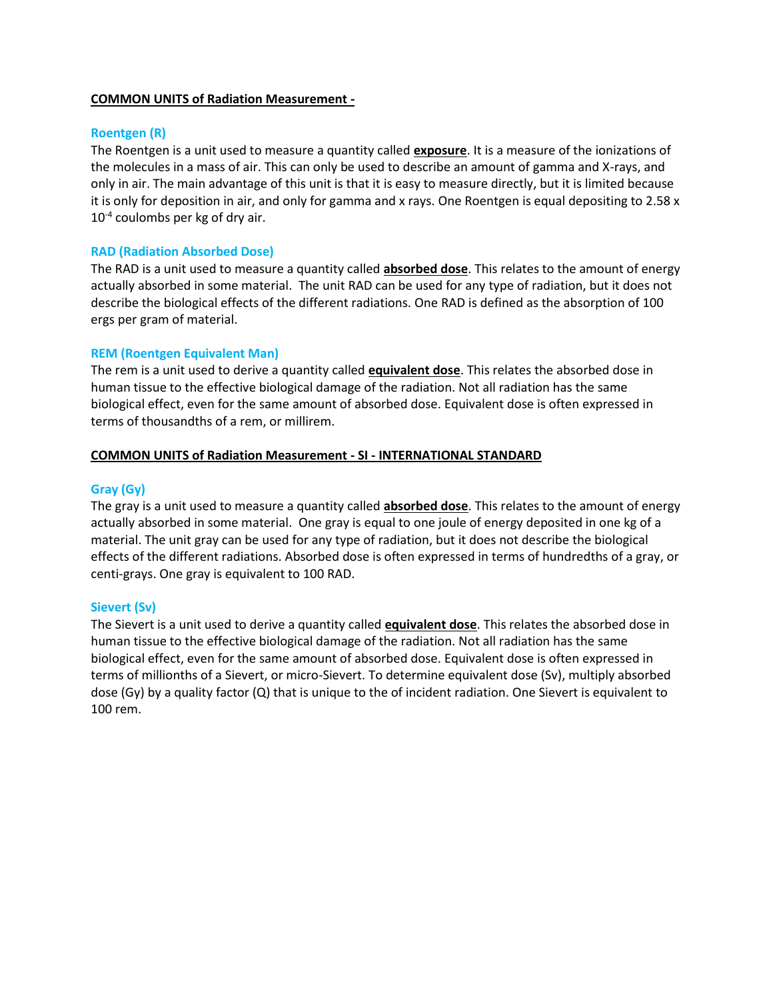### **COMMON UNITS of Radiation Measurement -**

### **Roentgen (R)**

The Roentgen is a unit used to measure a quantity called **exposure**. It is a measure of the ionizations of the molecules in a mass of air. This can only be used to describe an amount of gamma and X-rays, and only in air. The main advantage of this unit is that it is easy to measure directly, but it is limited because it is only for deposition in air, and only for gamma and x rays. One Roentgen is equal depositing to 2.58 x 10<sup>-4</sup> coulombs per kg of dry air.

### **RAD (Radiation Absorbed Dose)**

The RAD is a unit used to measure a quantity called **absorbed dose**. This relates to the amount of energy actually absorbed in some material. The unit RAD can be used for any type of radiation, but it does not describe the biological effects of the different radiations. One RAD is defined as the absorption of 100 ergs per gram of material.

### **REM (Roentgen Equivalent Man)**

The rem is a unit used to derive a quantity called **equivalent dose**. This relates the absorbed dose in human tissue to the effective biological damage of the radiation. Not all radiation has the same biological effect, even for the same amount of absorbed dose. Equivalent dose is often expressed in terms of thousandths of a rem, or millirem.

## **COMMON UNITS of Radiation Measurement - SI - INTERNATIONAL STANDARD**

### **Gray (Gy)**

The gray is a unit used to measure a quantity called **absorbed dose**. This relates to the amount of energy actually absorbed in some material. One gray is equal to one joule of energy deposited in one kg of a material. The unit gray can be used for any type of radiation, but it does not describe the biological effects of the different radiations. Absorbed dose is often expressed in terms of hundredths of a gray, or centi-grays. One gray is equivalent to 100 RAD.

## **Sievert (Sv)**

The Sievert is a unit used to derive a quantity called **equivalent dose**. This relates the absorbed dose in human tissue to the effective biological damage of the radiation. Not all radiation has the same biological effect, even for the same amount of absorbed dose. Equivalent dose is often expressed in terms of millionths of a Sievert, or micro-Sievert. To determine equivalent dose (Sv), multiply absorbed dose (Gy) by a quality factor (Q) that is unique to the of incident radiation. One Sievert is equivalent to 100 rem.